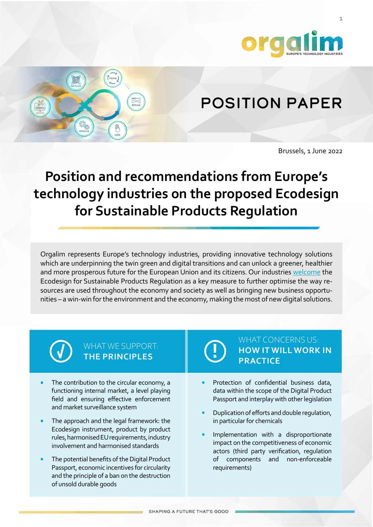

1

# Position Paper

Brussels, 1 June 2022

# **Position and recommendations from Europe's technology industries on the proposed Ecodesign for Sustainable Products Regulation**

Orgalim represents Europe's technology industries, providing innovative technology solutions which are underpinning the twin green and digital transitions and can unlock a greener, healthier and more prosperous future for the European Union and its citizens. Our industries [welcome](https://orgalim.eu/news/orgalim-welcomes-proposal-regulation-ecodesign-sustainable-products) the Ecodesign for Sustainable Products Regulation as a key measure to further optimise the way resources are used throughout the economy and society as well as bringing new business opportunities – a win-win for the environment and the economy, making the most of new digital solutions.

**!**

# WHAT WE SUPPORT: **THE PRINCIPLES**

- The contribution to the circular economy, a functioning internal market, a level playing field and ensuring effective enforcement and market surveillance system
- The approach and the legal framework: the Ecodesign instrument, product by product rules, harmonised EU requirements, industry involvement and harmonised standards
- The potential benefits of the Digital Product Passport, economic incentives for circularity and the principle of a ban on the destruction of unsold durable goods

## WHAT CONCERNS US: **HOW IT WILL WORK IN PRACTICE**

- Protection of confidential business data, data within the scope of the Digital Product Passport and interplay with other legislation
- Duplication of efforts and double regulation, in particular for chemicals
- Implementation with a disproportionate impact on the competitiveness of economic actors (third party verification, regulation of components and non-enforceable requirements)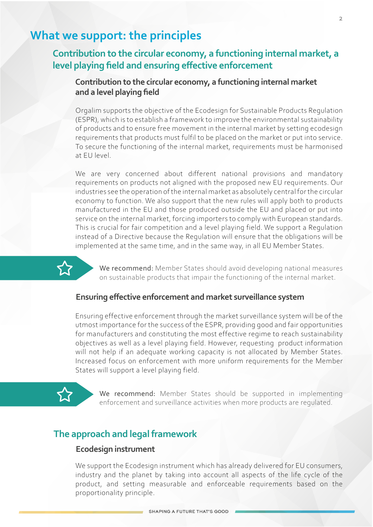# **What we support: the principles**

# **Contribution to the circular economy, a functioning internal market, a level playing field and ensuring effective enforcement**

# **Contribution to the circular economy, a functioning internal market and a level playing field**

Orgalim supports the objective of the Ecodesign for Sustainable Products Regulation (ESPR), which is to establish a framework to improve the environmental sustainability of products and to ensure free movement in the internal market by setting ecodesign requirements that products must fulfil to be placed on the market or put into service. To secure the functioning of the internal market, requirements must be harmonised at EU level.

We are very concerned about different national provisions and mandatory requirements on products not aligned with the proposed new EU requirements. Our industries see the operation of the internal market as absolutely central for the circular economy to function. We also support that the new rules will apply both to products manufactured in the EU and those produced outside the EU and placed or put into service on the internal market, forcing importers to comply with European standards. This is crucial for fair competition and a level playing field. We support a Regulation instead of a Directive because the Regulation will ensure that the obligations will be implemented at the same time, and in the same way, in all EU Member States.

We recommend: Member States should avoid developing national measures on sustainable products that impair the functioning of the internal market.

### **Ensuring effective enforcement and market surveillance system**

Ensuring effective enforcement through the market surveillance system will be of the utmost importance for the success of the ESPR, providing good and fair opportunities for manufacturers and constituting the most effective regime to reach sustainability objectives as well as a level playing field. However, requesting product information will not help if an adequate working capacity is not allocated by Member States. Increased focus on enforcement with more uniform requirements for the Member States will support a level playing field.

 $\sum$ 

We recommend: Member States should be supported in implementing enforcement and surveillance activities when more products are regulated.

### **The approach and legal framework**

### **Ecodesign instrument**

We support the Ecodesign instrument which has already delivered for EU consumers, industry and the planet by taking into account all aspects of the life cycle of the product, and setting measurable and enforceable requirements based on the proportionality principle.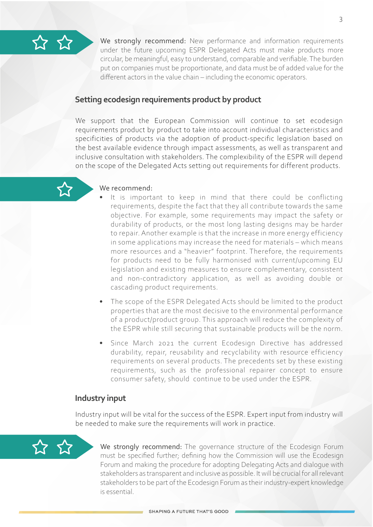

We strongly recommend: New performance and information requirements under the future upcoming ESPR Delegated Acts must make products more circular, be meaningful, easy to understand, comparable and verifiable. The burden put on companies must be proportionate, and data must be of added value for the different actors in the value chain – including the economic operators.

### **Setting ecodesign requirements product by product**

We support that the European Commission will continue to set ecodesign requirements product by product to take into account individual characteristics and specificities of products via the adoption of product-specific legislation based on the best available evidence through impact assessments, as well as transparent and inclusive consultation with stakeholders. The complexibility of the ESPR will depend on the scope of the Delegated Acts setting out requirements for different products.



### We recommend:

- It is important to keep in mind that there could be conflicting requirements, despite the fact that they all contribute towards the same objective. For example, some requirements may impact the safety or durability of products, or the most long lasting designs may be harder to repair. Another example is that the increase in more energy efficiency in some applications may increase the need for materials – which means more resources and a "heavier" footprint. Therefore, the requirements for products need to be fully harmonised with current/upcoming EU legislation and existing measures to ensure complementary, consistent and non-contradictory application, as well as avoiding double or cascading product requirements.
- The scope of the ESPR Delegated Acts should be limited to the product properties that are the most decisive to the environmental performance of a product/product group. This approach will reduce the complexity of the ESPR while still securing that sustainable products will be the norm.
- Since March 2021 the current Ecodesign Directive has addressed durability, repair, reusability and recyclability with resource efficiency requirements on several products. The precedents set by these existing requirements, such as the professional repairer concept to ensure consumer safety, should continue to be used under the ESPR.

### **Industry input**

Industry input will be vital for the success of the ESPR. Expert input from industry will be needed to make sure the requirements will work in practice.



We strongly recommend: The governance structure of the Ecodesign Forum must be specified further; defining how the Commission will use the Ecodesign Forum and making the procedure for adopting Delegating Acts and dialogue with stakeholders as transparent and inclusive as possible. It will be crucial for all relevant stakeholders to be part of the Ecodesign Forum as their industry-expert knowledge is essential.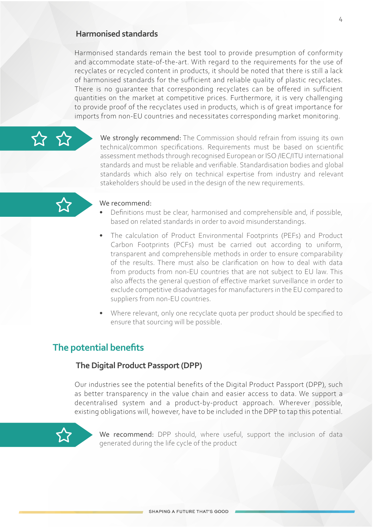### **Harmonised standards**

Harmonised standards remain the best tool to provide presumption of conformity and accommodate state-of-the-art. With regard to the requirements for the use of recyclates or recycled content in products, it should be noted that there is still a lack of harmonised standards for the sufficient and reliable quality of plastic recyclates. There is no guarantee that corresponding recyclates can be offered in sufficient quantities on the market at competitive prices. Furthermore, it is very challenging to provide proof of the recyclates used in products, which is of great importance for imports from non-EU countries and necessitates corresponding market monitoring.

We strongly recommend: The Commission should refrain from issuing its own technical/common specifications. Requirements must be based on scientific assessment methods through recognised European or ISO /IEC/ITU international standards and must be reliable and verifiable. Standardisation bodies and global standards which also rely on technical expertise from industry and relevant stakeholders should be used in the design of the new requirements.



### We recommend:

- Definitions must be clear, harmonised and comprehensible and, if possible, based on related standards in order to avoid misunderstandings.
- The calculation of Product Environmental Footprints (PEFs) and Product Carbon Footprints (PCFs) must be carried out according to uniform, transparent and comprehensible methods in order to ensure comparability of the results. There must also be clarification on how to deal with data from products from non-EU countries that are not subject to EU law. This also affects the general question of effective market surveillance in order to exclude competitive disadvantages for manufacturers in the EU compared to suppliers from non-EU countries.
- Where relevant, only one recyclate quota per product should be specified to ensure that sourcing will be possible.

# **The potential benefits**

### **The Digital Product Passport (DPP)**

Our industries see the potential benefits of the Digital Product Passport (DPP), such as better transparency in the value chain and easier access to data. We support a decentralised system and a product-by-product approach. Wherever possible, existing obligations will, however, have to be included in the DPP to tap this potential.



We recommend: DPP should, where useful, support the inclusion of data generated during the life cycle of the product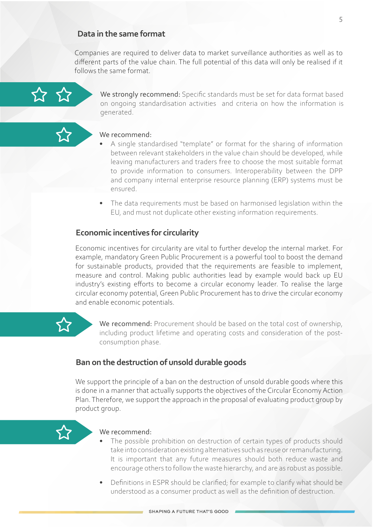### **Data in the same format**

Companies are required to deliver data to market surveillance authorities as well as to different parts of the value chain. The full potential of this data will only be realised if it follows the same format.



We strongly recommend: Specific standards must be set for data format based on ongoing standardisation activities and criteria on how the information is generated.

### We recommend:

- A single standardised "template" or format for the sharing of information between relevant stakeholders in the value chain should be developed, while leaving manufacturers and traders free to choose the most suitable format to provide information to consumers. Interoperability between the DPP and company internal enterprise resource planning (ERP) systems must be ensured.
- The data requirements must be based on harmonised legislation within the EU, and must not duplicate other existing information requirements.

### **Economic incentives for circularity**

Economic incentives for circularity are vital to further develop the internal market. For example, mandatory Green Public Procurement is a powerful tool to boost the demand for sustainable products, provided that the requirements are feasible to implement, measure and control. Making public authorities lead by example would back up EU industry's existing efforts to become a circular economy leader. To realise the large circular economy potential, Green Public Procurement has to drive the circular economy and enable economic potentials.



We recommend: Procurement should be based on the total cost of ownership, including product lifetime and operating costs and consideration of the postconsumption phase.

### **Ban on the destruction of unsold durable goods**

We support the principle of a ban on the destruction of unsold durable goods where this is done in a manner that actually supports the objectives of the Circular Economy Action Plan. Therefore, we support the approach in the proposal of evaluating product group by product group.



### We recommend:

- The possible prohibition on destruction of certain types of products should take into consideration existing alternatives such as reuse or remanufacturing. It is important that any future measures should both reduce waste and encourage others to follow the waste hierarchy, and are as robust as possible.
- Definitions in ESPR should be clarified; for example to clarify what should be understood as a consumer product as well as the definition of destruction.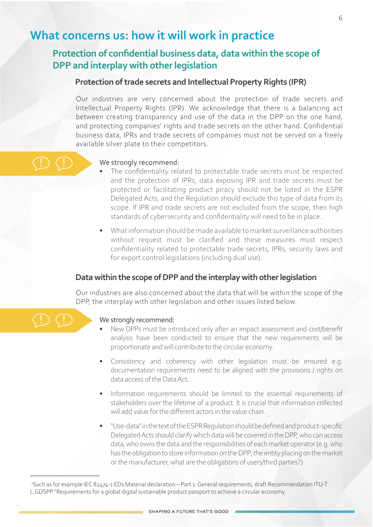# **What concerns us: how it will work in practice**

# **Protection of confidential business data, data within the scope of DPP and interplay with other legislation**

### **Protection of trade secrets and Intellectual Property Rights (IPR)**

Our industries are very concerned about the protection of trade secrets and Intellectual Property Rights (IPR). We acknowledge that there is a balancing act between creating transparency and use of the data in the DPP on the one hand, and protecting companies' rights and trade secrets on the other hand. Confidential business data, IPRs and trade secrets of companies must not be served on a freely available silver plate to their competitors.

### We strongly recommend:

- The confidentiality related to protectable trade secrets must be respected and the protection of IPRs, data exposing IPR and trade secrets must be protected or facilitating product piracy should not be listed in the ESPR Delegated Acts, and the Regulation should exclude this type of data from its scope. If IPR and trade secrets are not excluded from the scope, then high standards of cybersecurity and confidentiality will need to be in place.
- What information should be made available to market surveillance authorities without request must be clarified and these measures must respect confidentiality related to protectable trade secrets, IPRs, security laws and for export control legislations (including dual use).

### **Data within the scope of DPP and the interplay with other legislation**

Our industries are also concerned about the data that will be within the scope of the DPP, the interplay with other legislation and other issues listed below.



!

!

### We strongly recommend:

- New DPPs must be introduced only after an impact assessment and cost/benefit analysis have been conducted to ensure that the new requirements will be proportionate and will contribute to the circular economy.
- Consistency and coherency with other legislation must be ensured e.g. documentation requirements need to be aligned with the provisions / rights on data access of the Data Act.
- Information requirements should be limited to the essential requirements of stakeholders over the lifetime of a product. It is crucial that information collected will add value for the different actors in the value chain.
- "Use-data" in the text of the ESPR Regulation should be defined and product-specific Delegated Acts should clarify which data will be covered in the DPP, who can access data, who owns the data and the responsibilities of each market operator (e.g. who has the obligation to store information on the DPP; the entity placing on the market or the manufacturer, what are the obligations of users/third parties?)

6

<sup>1</sup> Such as for example IEC 82474-1 ED1 Material declaration – Part 1: General requirements, draft Recommendation ITU-T L.GDSPP "Requirements for a global digital sustainable product passport to achieve a circular economy.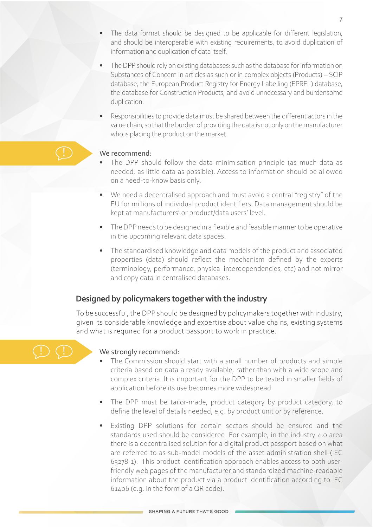- The data format should be designed to be applicable for different legislation, and should be interoperable with existing requirements, to avoid duplication of information and duplication of data itself.
- The DPP should rely on existing databases; such as the database for information on Substances of Concern In articles as such or in complex objects (Products) – SCIP database, the European Product Registry for Energy Labelling (EPREL) database, the database for Construction Products, and avoid unnecessary and burdensome duplication.
- Responsibilities to provide data must be shared between the different actors in the value chain, so that the burden of providing the data is not only on the manufacturer who is placing the product on the market.

### We recommend:

- The DPP should follow the data minimisation principle (as much data as needed, as little data as possible). Access to information should be allowed on a need-to-know basis only.
- We need a decentralised approach and must avoid a central "registry" of the EU for millions of individual product identifiers. Data management should be kept at manufacturers' or product/data users' level.
- The DPP needs to be designed in a flexible and feasible manner to be operative in the upcoming relevant data spaces.
- The standardised knowledge and data models of the product and associated properties (data) should reflect the mechanism defined by the experts (terminology, performance, physical interdependencies, etc) and not mirror and copy data in centralised databases.

### **Designed by policymakers together with the industry**

To be successful, the DPP should be designed by policymakers together with industry, given its considerable knowledge and expertise about value chains, existing systems and what is required for a product passport to work in practice.



!

### We strongly recommend:

- The Commission should start with a small number of products and simple criteria based on data already available, rather than with a wide scope and complex criteria. It is important for the DPP to be tested in smaller fields of application before its use becomes more widespread.
- The DPP must be tailor-made, product category by product category, to define the level of details needed; e.g. by product unit or by reference.
- Existing DPP solutions for certain sectors should be ensured and the standards used should be considered. For example, in the industry 4.0 area there is a decentralised solution for a digital product passport based on what are referred to as sub-model models of the asset administration shell (IEC 63278-1). This product identification approach enables access to both userfriendly web pages of the manufacturer and standardized machine-readable information about the product via a product identification according to IEC 61406 (e.g. in the form of a QR code).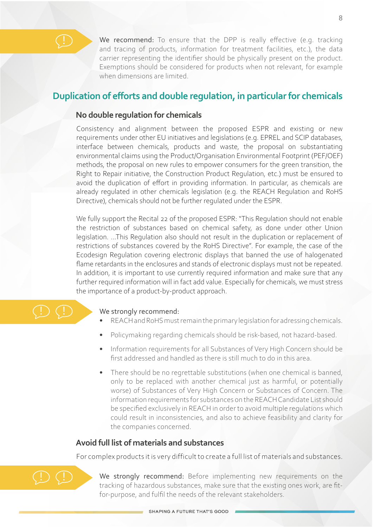We recommend: To ensure that the DPP is really effective (e.g. tracking and tracing of products, information for treatment facilities, etc.), the data carrier representing the identifier should be physically present on the product. Exemptions should be considered for products when not relevant, for example when dimensions are limited.

# **Duplication of efforts and double regulation, in particularfor chemicals**

### **No double regulation for chemicals**

Consistency and alignment between the proposed ESPR and existing or new requirements under other EU initiatives and legislations (e.g. EPREL and SCIP databases, interface between chemicals, products and waste, the proposal on substantiating environmental claims using the Product/Organisation Environmental Footprint (PEF/OEF) methods, the proposal on new rules to empower consumers for the green transition, the Right to Repair initiative, the Construction Product Regulation, etc.) must be ensured to avoid the duplication of effort in providing information. In particular, as chemicals are already regulated in other chemicals legislation (e.g. the REACH Regulation and RoHS Directive), chemicals should not be further regulated under the ESPR.

We fully support the Recital 22 of the proposed ESPR: "This Regulation should not enable the restriction of substances based on chemical safety, as done under other Union legislation. ...This Regulation also should not result in the duplication or replacement of restrictions of substances covered by the RoHS Directive". For example, the case of the Ecodesign Regulation covering electronic displays that banned the use of halogenated flame retardants in the enclosures and stands of electronic displays must not be repeated. In addition, it is important to use currently required information and make sure that any further required information will in fact add value. Especially for chemicals, we must stress the importance of a product-by-product approach.



### We strongly recommend:

- REACH and RoHS must remain the primary legislation for adressing chemicals.
- Policymaking regarding chemicals should be risk-based, not hazard-based.
- Information requirements for all Substances of Very High Concern should be first addressed and handled as there is still much to do in this area.
- There should be no regrettable substitutions (when one chemical is banned, only to be replaced with another chemical just as harmful, or potentially worse) of Substances of Very High Concern or Substances of Concern. The information requirements for substances on the REACH Candidate List should be specified exclusively in REACH in order to avoid multiple regulations which could result in inconsistencies, and also to achieve feasibility and clarity for the companies concerned.

## **Avoid full list of materials and substances**

For complex products it is very difficult to create a full list of materials and substances.



We strongly recommend: Before implementing new requirements on the tracking of hazardous substances, make sure that the existing ones work, are fitfor-purpose, and fulfil the needs of the relevant stakeholders.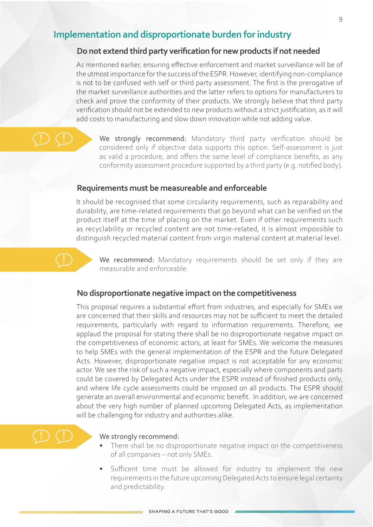## **Implementation and disproportionate burden for industry**

### **Do not extend third party verification for new products if not needed**

As mentioned earlier, ensuring effective enforcement and market surveillance will be of the utmost importance for the success of the ESPR. However, identifying non-compliance is not to be confused with self or third party assessment. The first is the prerogative of the market surveillance authorities and the latter refers to options for manufacturers to check and prove the conformity of their products. We strongly believe that third party verification should not be extended to new products without a strict justification, as it will add costs to manufacturing and slow down innovation while not adding value.

### ! !

!

We strongly recommend: Mandatory third party verification should be considered only if objective data supports this option. Self-assessment is just as valid a procedure, and offers the same level of compliance benefits, as any conformity assessment procedure supported by a third party (e.g. notified body).

### **Requirements must be measureable and enforceable**

It should be recognised that some circularity requirements, such as reparability and durability, are time-related requirements that go beyond what can be verified on the product itself at the time of placing on the market. Even if other requirements such as recyclability or recycled content are not time-related, it is almost impossible to distinguish recycled material content from virgin material content at material level.

We recommend: Mandatory requirements should be set only if they are measurable and enforceable.

### **No disproportionate negative impact on the competitiveness**

This proposal requires a substantial effort from industries, and especially for SMEs we are concerned that their skills and resources may not be sufficient to meet the detailed requirements, particularly with regard to information requirements. Therefore, we applaud the proposal for stating there shall be no disproportionate negative impact on the competitiveness of economic actors, at least for SMEs. We welcome the measures to help SMEs with the general implementation of the ESPR and the future Delegated Acts. However, disproportionate negative impact is not acceptable for any economic actor. We see the risk of such a negative impact, especially where components and parts could be covered by Delegated Acts under the ESPR instead of finished products only, and where life cycle assessments could be imposed on all products. The ESPR should generate an overall environmental and economic benefit. In addition, we are concerned about the very high number of planned upcoming Delegated Acts, as implementation will be challenging for industry and authorities alike.

### ! !

### We strongly recommend:

- There shall be no disproportionate negative impact on the competitiveness of all companies – not only SMEs.
- Sufficent time must be allowed for industry to implement the new requirements in the future upcoming Delegated Acts to ensure legal certainty and predictability.